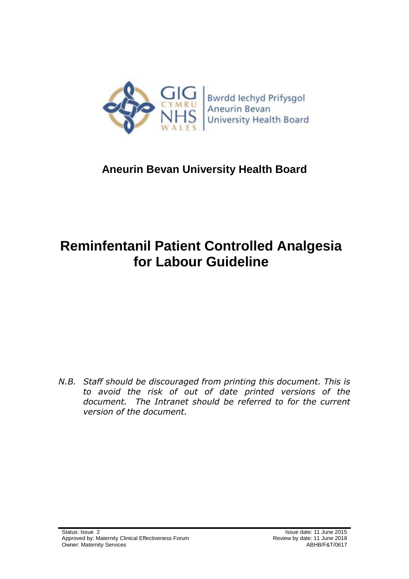

## **Aneurin Bevan University Health Board**

# **Reminfentanil Patient Controlled Analgesia for Labour Guideline**

*N.B. Staff should be discouraged from printing this document. This is to avoid the risk of out of date printed versions of the document. The Intranet should be referred to for the current version of the document.*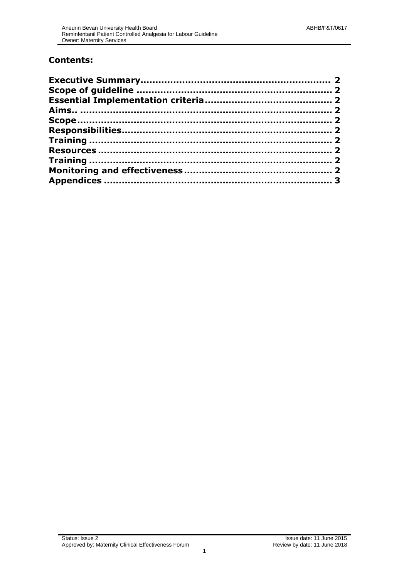#### **Contents:**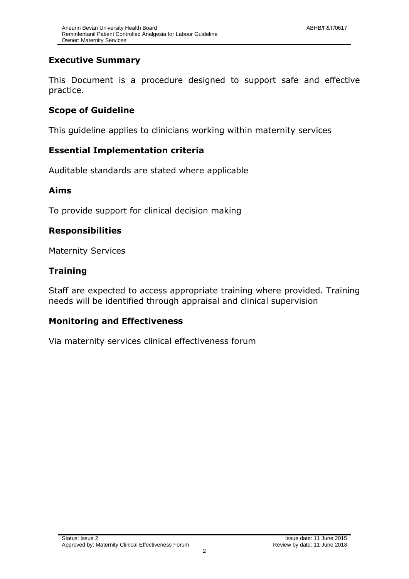#### <span id="page-2-0"></span>**Executive Summary**

This Document is a procedure designed to support safe and effective practice.

#### **Scope of Guideline**

This guideline applies to clinicians working within maternity services

#### **Essential Implementation criteria**

Auditable standards are stated where applicable

#### **Aims**

To provide support for clinical decision making

#### <span id="page-2-1"></span>**Responsibilities**

Maternity Services

#### <span id="page-2-2"></span>**Training**

Staff are expected to access appropriate training where provided. Training needs will be identified through appraisal and clinical supervision

#### **Monitoring and Effectiveness**

Via maternity services clinical effectiveness forum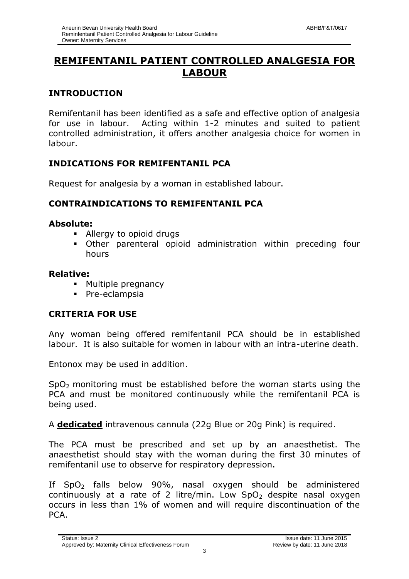### **REMIFENTANIL PATIENT CONTROLLED ANALGESIA FOR LABOUR**

#### **INTRODUCTION**

Remifentanil has been identified as a safe and effective option of analgesia for use in labour. Acting within 1-2 minutes and suited to patient controlled administration, it offers another analgesia choice for women in labour.

#### **INDICATIONS FOR REMIFENTANIL PCA**

Request for analgesia by a woman in established labour.

#### **CONTRAINDICATIONS TO REMIFENTANIL PCA**

#### **Absolute:**

- Allergy to opioid drugs
- Other parenteral opioid administration within preceding four hours

#### **Relative:**

- **Multiple pregnancy**
- **Pre-eclampsia**

#### **CRITERIA FOR USE**

Any woman being offered remifentanil PCA should be in established labour. It is also suitable for women in labour with an intra-uterine death.

Entonox may be used in addition.

 $SpO<sub>2</sub>$  monitoring must be established before the woman starts using the PCA and must be monitored continuously while the remifentanil PCA is being used.

A **dedicated** intravenous cannula (22g Blue or 20g Pink) is required.

The PCA must be prescribed and set up by an anaesthetist. The anaesthetist should stay with the woman during the first 30 minutes of remifentanil use to observe for respiratory depression.

If  $SpO<sub>2</sub>$  falls below 90%, nasal oxygen should be administered continuously at a rate of 2 litre/min. Low  $SpO<sub>2</sub>$  despite nasal oxygen occurs in less than 1% of women and will require discontinuation of the PCA.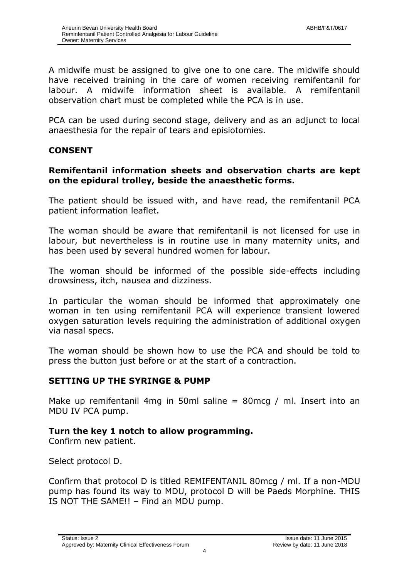A midwife must be assigned to give one to one care. The midwife should have received training in the care of women receiving remifentanil for labour. A midwife information sheet is available. A remifentanil observation chart must be completed while the PCA is in use.

PCA can be used during second stage, delivery and as an adjunct to local anaesthesia for the repair of tears and episiotomies.

#### **CONSENT**

#### **Remifentanil information sheets and observation charts are kept on the epidural trolley, beside the anaesthetic forms.**

The patient should be issued with, and have read, the remifentanil PCA patient information leaflet.

The woman should be aware that remifentanil is not licensed for use in labour, but nevertheless is in routine use in many maternity units, and has been used by several hundred women for labour.

The woman should be informed of the possible side-effects including drowsiness, itch, nausea and dizziness.

In particular the woman should be informed that approximately one woman in ten using remifentanil PCA will experience transient lowered oxygen saturation levels requiring the administration of additional oxygen via nasal specs.

The woman should be shown how to use the PCA and should be told to press the button just before or at the start of a contraction.

#### **SETTING UP THE SYRINGE & PUMP**

Make up remifentanil 4mg in 50ml saline  $= 80$ mcg / ml. Insert into an MDU IV PCA pump.

#### **Turn the key 1 notch to allow programming.**

Confirm new patient.

Select protocol D.

Confirm that protocol D is titled REMIFENTANIL 80mcg / ml. If a non-MDU pump has found its way to MDU, protocol D will be Paeds Morphine. THIS IS NOT THE SAME!! – Find an MDU pump.